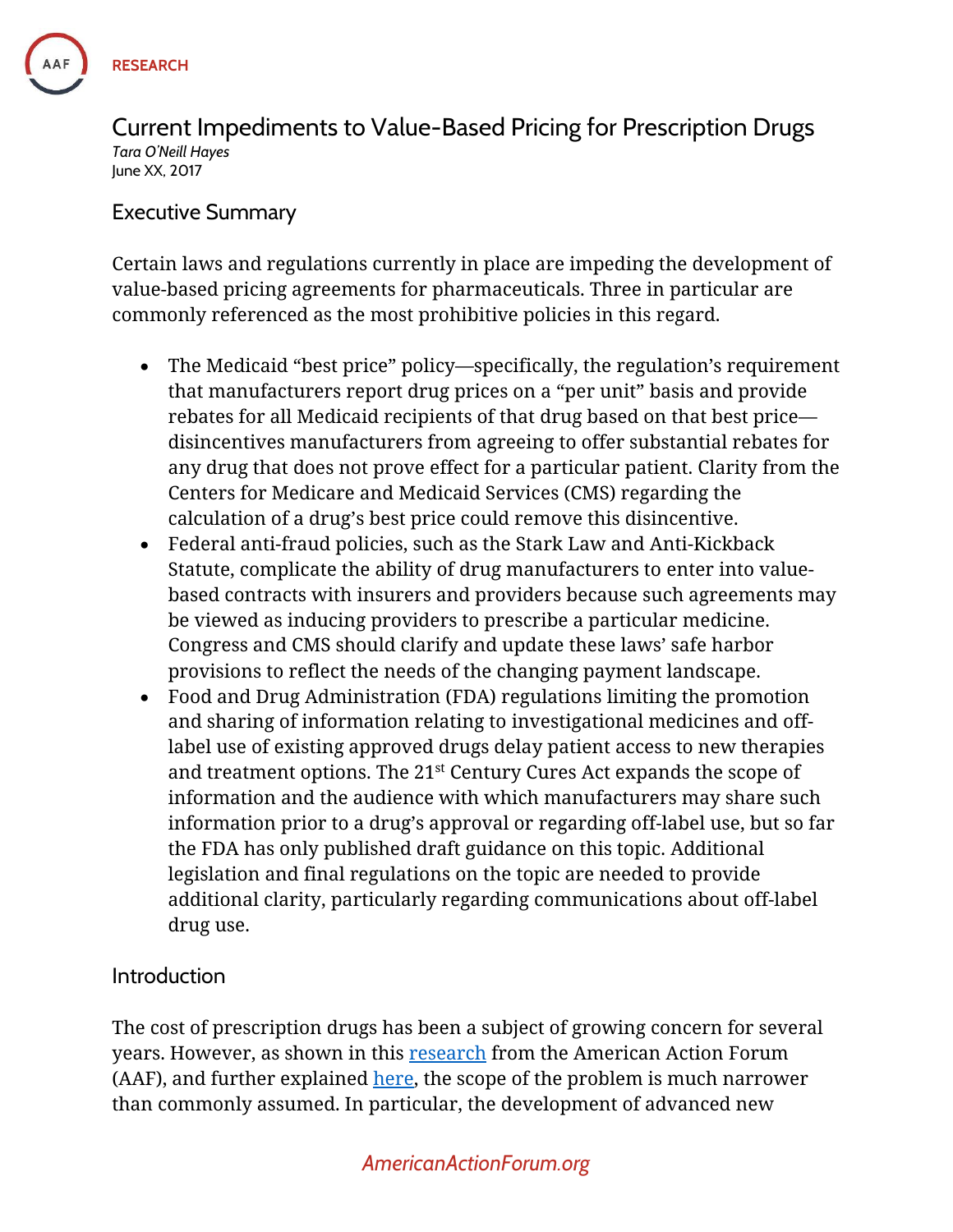

Current Impediments to Value-Based Pricing for Prescription Drugs *Tara O'Neill Hayes* June XX, 2017

#### Executive Summary

Certain laws and regulations currently in place are impeding the development of value-based pricing agreements for pharmaceuticals. Three in particular are commonly referenced as the most prohibitive policies in this regard.

- The Medicaid "best price" policy—specifically, the regulation's requirement that manufacturers report drug prices on a "per unit" basis and provide rebates for all Medicaid recipients of that drug based on that best price disincentives manufacturers from agreeing to offer substantial rebates for any drug that does not prove effect for a particular patient. Clarity from the Centers for Medicare and Medicaid Services (CMS) regarding the calculation of a drug's best price could remove this disincentive.
- Federal anti-fraud policies, such as the Stark Law and Anti-Kickback Statute, complicate the ability of drug manufacturers to enter into valuebased contracts with insurers and providers because such agreements may be viewed as inducing providers to prescribe a particular medicine. Congress and CMS should clarify and update these laws' safe harbor provisions to reflect the needs of the changing payment landscape.
- Food and Drug Administration (FDA) regulations limiting the promotion and sharing of information relating to investigational medicines and offlabel use of existing approved drugs delay patient access to new therapies and treatment options. The  $21<sup>st</sup>$  Century Cures Act expands the scope of information and the audience with which manufacturers may share such information prior to a drug's approval or regarding off-label use, but so far the FDA has only published draft guidance on this topic. Additional legislation and final regulations on the topic are needed to provide additional clarity, particularly regarding communications about off-label drug use.

#### Introduction

The cost of prescription drugs has been a subject of growing concern for several years. However, as shown in this [research](https://www.americanactionforum.org/research/understanding-pharmaceutical-drug-costs/) from the American Action Forum (AAF), and further explained [here,](https://www.americanactionforum.org/video/eakinomics-addressing-high-drug-prices/) the scope of the problem is much narrower than commonly assumed. In particular, the development of advanced new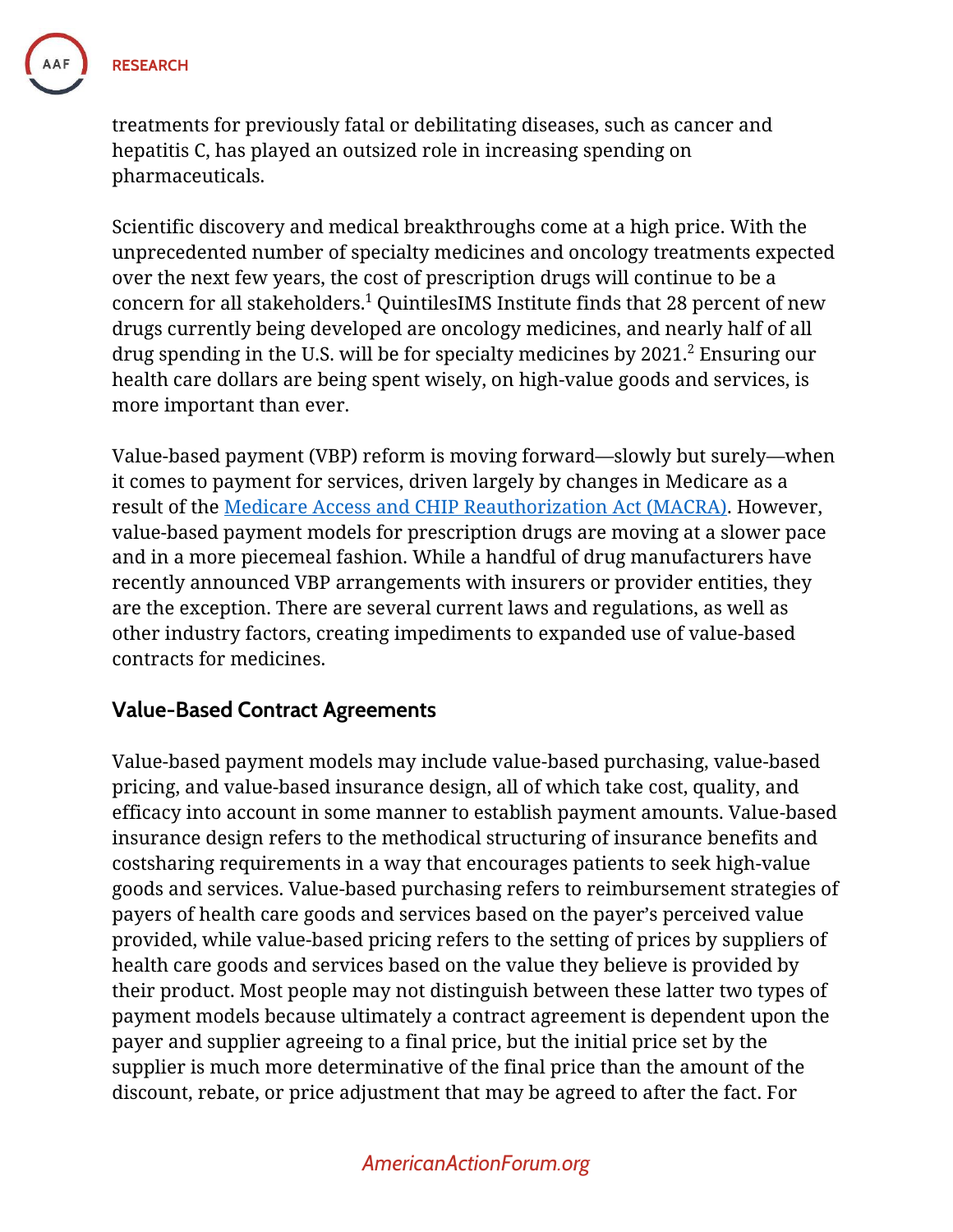

treatments for previously fatal or debilitating diseases, such as cancer and hepatitis C, has played an outsized role in increasing spending on pharmaceuticals.

Scientific discovery and medical breakthroughs come at a high price. With the unprecedented number of specialty medicines and oncology treatments expected over the next few years, the cost of prescription drugs will continue to be a concern for all stakeholders.<sup>1</sup> QuintilesIMS Institute finds that 28 percent of new drugs currently being developed are oncology medicines, and nearly half of all drug spending in the U.S. will be for specialty medicines by 2021.<sup>2</sup> Ensuring our health care dollars are being spent wisely, on high-value goods and services, is more important than ever.

Value-based payment (VBP) reform is moving forward—slowly but surely—when it comes to payment for services, driven largely by changes in Medicare as a result of the [Medicare Access and CHIP Reauthorization Act \(MACRA\).](https://www.americanactionforum.org/research/primer-macra-advanced-alternative-payment-models/) However, value-based payment models for prescription drugs are moving at a slower pace and in a more piecemeal fashion. While a handful of drug manufacturers have recently announced VBP arrangements with insurers or provider entities, they are the exception. There are several current laws and regulations, as well as other industry factors, creating impediments to expanded use of value-based contracts for medicines.

### **Value-Based Contract Agreements**

Value-based payment models may include value-based purchasing, value-based pricing, and value-based insurance design, all of which take cost, quality, and efficacy into account in some manner to establish payment amounts. Value-based insurance design refers to the methodical structuring of insurance benefits and costsharing requirements in a way that encourages patients to seek high-value goods and services. Value-based purchasing refers to reimbursement strategies of payers of health care goods and services based on the payer's perceived value provided, while value-based pricing refers to the setting of prices by suppliers of health care goods and services based on the value they believe is provided by their product. Most people may not distinguish between these latter two types of payment models because ultimately a contract agreement is dependent upon the payer and supplier agreeing to a final price, but the initial price set by the supplier is much more determinative of the final price than the amount of the discount, rebate, or price adjustment that may be agreed to after the fact. For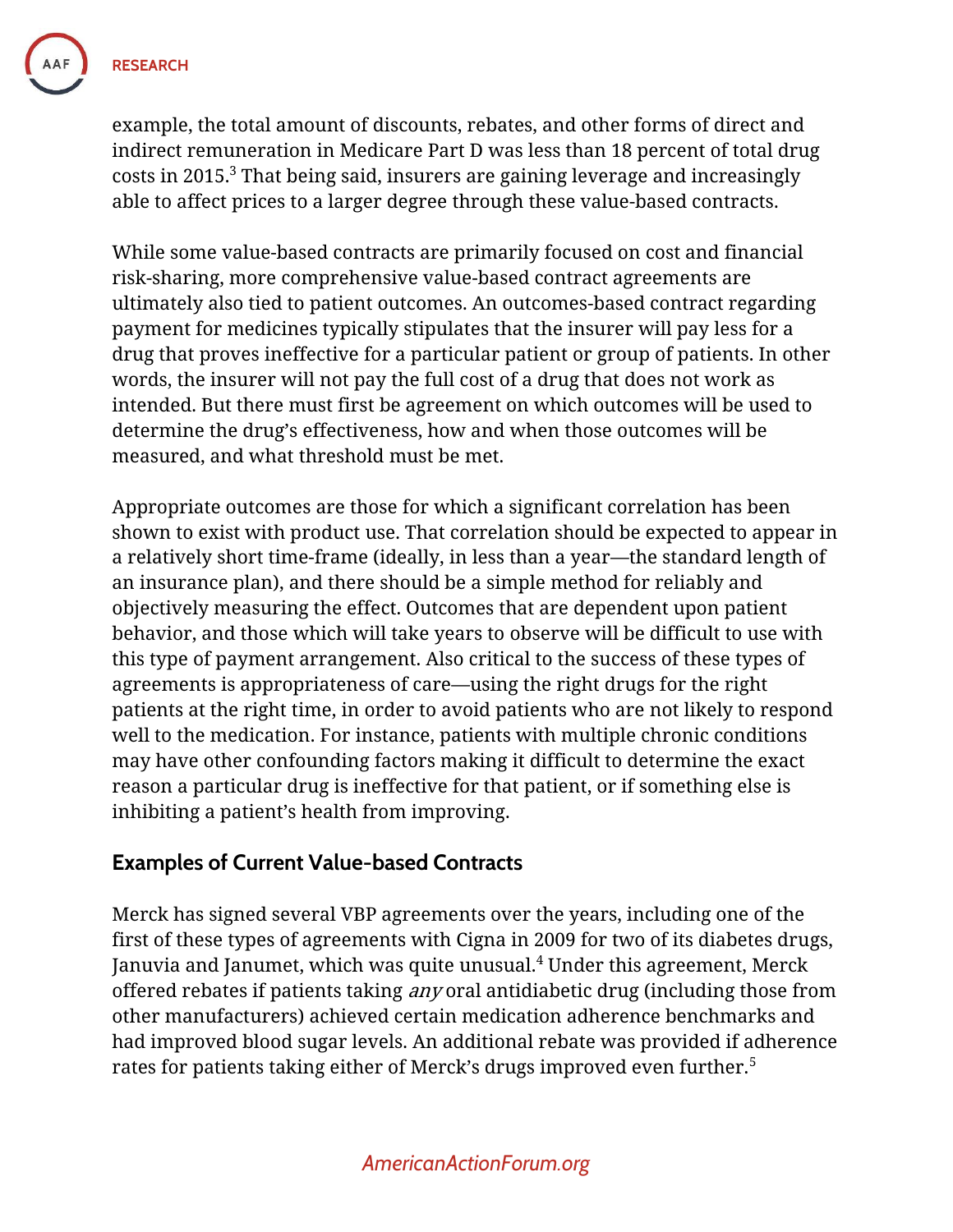

example, the total amount of discounts, rebates, and other forms of direct and indirect remuneration in Medicare Part D was less than 18 percent of total drug costs in 2015.<sup>3</sup> That being said, insurers are gaining leverage and increasingly able to affect prices to a larger degree through these value-based contracts.

While some value-based contracts are primarily focused on cost and financial risk-sharing, more comprehensive value-based contract agreements are ultimately also tied to patient outcomes. An outcomes-based contract regarding payment for medicines typically stipulates that the insurer will pay less for a drug that proves ineffective for a particular patient or group of patients. In other words, the insurer will not pay the full cost of a drug that does not work as intended. But there must first be agreement on which outcomes will be used to determine the drug's effectiveness, how and when those outcomes will be measured, and what threshold must be met.

Appropriate outcomes are those for which a significant correlation has been shown to exist with product use. That correlation should be expected to appear in a relatively short time-frame (ideally, in less than a year—the standard length of an insurance plan), and there should be a simple method for reliably and objectively measuring the effect. Outcomes that are dependent upon patient behavior, and those which will take years to observe will be difficult to use with this type of payment arrangement. Also critical to the success of these types of agreements is appropriateness of care—using the right drugs for the right patients at the right time, in order to avoid patients who are not likely to respond well to the medication. For instance, patients with multiple chronic conditions may have other confounding factors making it difficult to determine the exact reason a particular drug is ineffective for that patient, or if something else is inhibiting a patient's health from improving.

### **Examples of Current Value-based Contracts**

Merck has signed several VBP agreements over the years, including one of the first of these types of agreements with Cigna in 2009 for two of its diabetes drugs, Januvia and Janumet, which was quite unusual. <sup>4</sup> Under this agreement, Merck offered rebates if patients taking any oral antidiabetic drug (including those from other manufacturers) achieved certain medication adherence benchmarks and had improved blood sugar levels. An additional rebate was provided if adherence rates for patients taking either of Merck's drugs improved even further.<sup>5</sup>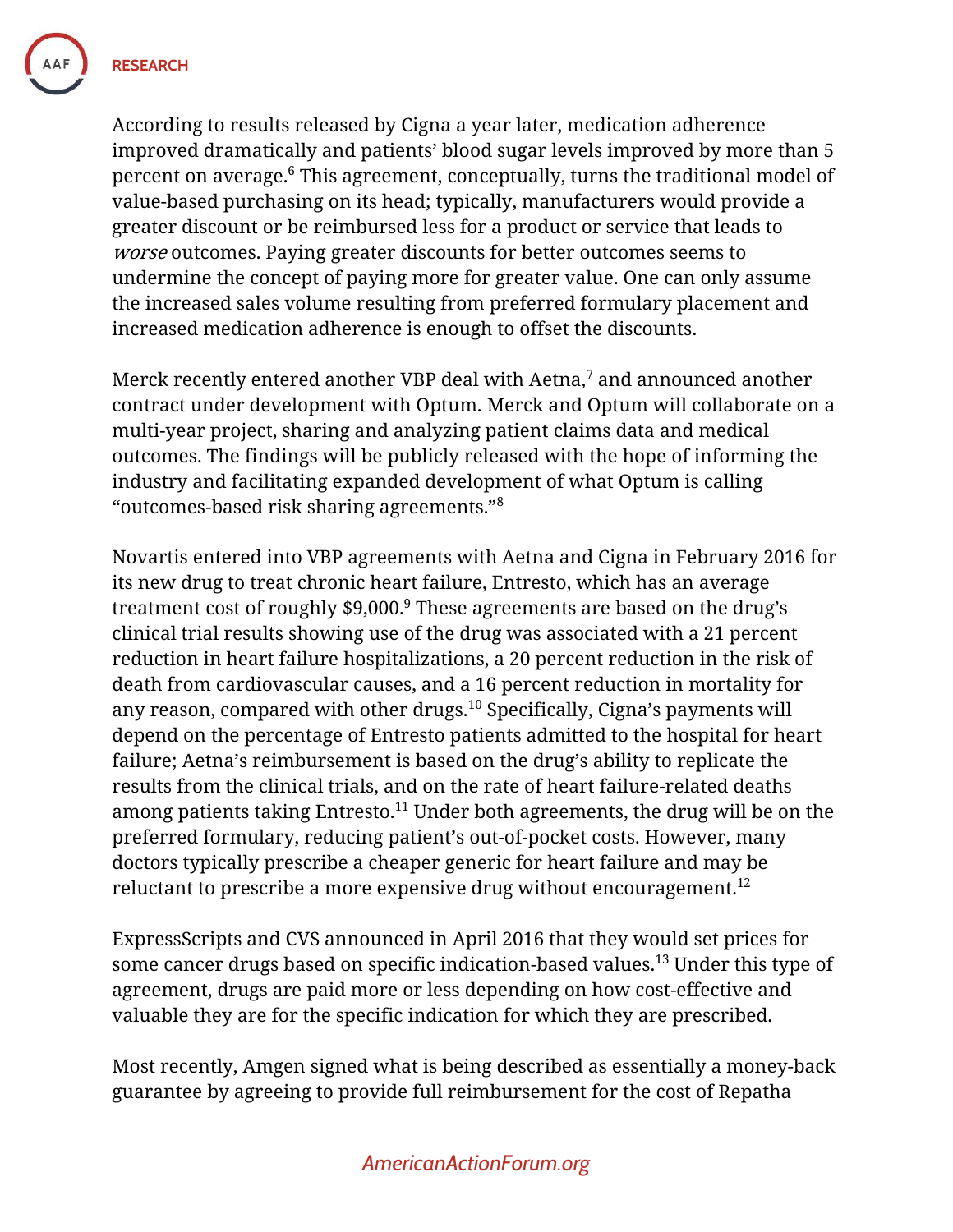**RESEARCH** 

According to results released by Cigna a year later, medication adherence improved dramatically and patients' blood sugar levels improved by more than 5 percent on average.<sup>6</sup> This agreement, conceptually, turns the traditional model of value-based purchasing on its head; typically, manufacturers would provide a greater discount or be reimbursed less for a product or service that leads to *worse* outcomes. Paying greater discounts for better outcomes seems to undermine the concept of paying more for greater value. One can only assume the increased sales volume resulting from preferred formulary placement and increased medication adherence is enough to offset the discounts.

Merck recently entered another VBP deal with Aetna,<sup>7</sup> and announced another contract under development with Optum. Merck and Optum will collaborate on a multi-year project, sharing and analyzing patient claims data and medical outcomes. The findings will be publicly released with the hope of informing the industry and facilitating expanded development of what Optum is calling "outcomes-based risk sharing agreements."<sup>8</sup>

Novartis entered into VBP agreements with Aetna and Cigna in February 2016 for its new drug to treat chronic heart failure, Entresto, which has an average treatment cost of roughly  $$9,000$ .<sup>9</sup> These agreements are based on the drug's clinical trial results showing use of the drug was associated with a 21 percent reduction in heart failure hospitalizations, a 20 percent reduction in the risk of death from cardiovascular causes, and a 16 percent reduction in mortality for any reason, compared with other drugs.<sup>10</sup> Specifically, Cigna's payments will depend on the percentage of Entresto patients admitted to the hospital for heart failure; Aetna's reimbursement is based on the drug's ability to replicate the results from the clinical trials, and on the rate of heart failure-related deaths among patients taking Entresto.<sup>11</sup> Under both agreements, the drug will be on the preferred formulary, reducing patient's out-of-pocket costs. However, many doctors typically prescribe a cheaper generic for heart failure and may be reluctant to prescribe a more expensive drug without encouragement.<sup>12</sup>

ExpressScripts and CVS announced in April 2016 that they would set prices for some cancer drugs based on specific indication-based values.<sup>13</sup> Under this type of agreement, drugs are paid more or less depending on how cost-effective and valuable they are for the specific indication for which they are prescribed.

Most recently, Amgen signed what is being described as essentially a money-back guarantee by agreeing to provide full reimbursement for the cost of Repatha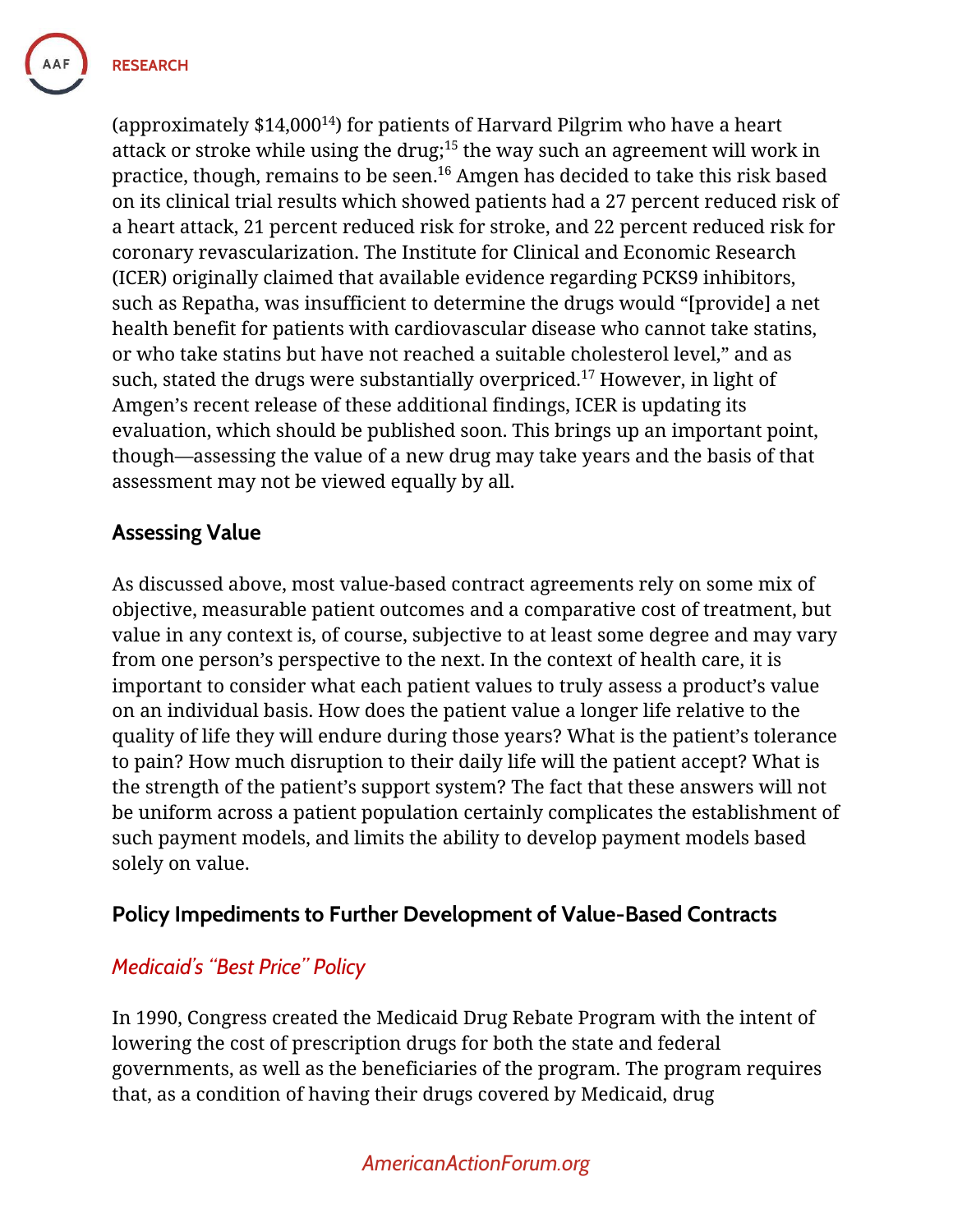

(approximately  $$14,000^{14}$ ) for patients of Harvard Pilgrim who have a heart attack or stroke while using the drug; <sup>15</sup> the way such an agreement will work in practice, though, remains to be seen. <sup>16</sup> Amgen has decided to take this risk based on its clinical trial results which showed patients had a 27 percent reduced risk of a heart attack, 21 percent reduced risk for stroke, and 22 percent reduced risk for coronary revascularization. The Institute for Clinical and Economic Research (ICER) originally claimed that available evidence regarding PCKS9 inhibitors, such as Repatha, was insufficient to determine the drugs would "[provide] a net health benefit for patients with cardiovascular disease who cannot take statins, or who take statins but have not reached a suitable cholesterol level," and as such, stated the drugs were substantially overpriced.<sup>17</sup> However, in light of Amgen's recent release of these additional findings, ICER is updating its evaluation, which should be published soon. This brings up an important point, though—assessing the value of a new drug may take years and the basis of that assessment may not be viewed equally by all.

## **Assessing Value**

As discussed above, most value-based contract agreements rely on some mix of objective, measurable patient outcomes and a comparative cost of treatment, but value in any context is, of course, subjective to at least some degree and may vary from one person's perspective to the next. In the context of health care, it is important to consider what each patient values to truly assess a product's value on an individual basis. How does the patient value a longer life relative to the quality of life they will endure during those years? What is the patient's tolerance to pain? How much disruption to their daily life will the patient accept? What is the strength of the patient's support system? The fact that these answers will not be uniform across a patient population certainly complicates the establishment of such payment models, and limits the ability to develop payment models based solely on value.

## **Policy Impediments to Further Development of Value-Based Contracts**

## *Medicaid's "Best Price" Policy*

In 1990, Congress created the Medicaid Drug Rebate Program with the intent of lowering the cost of prescription drugs for both the state and federal governments, as well as the beneficiaries of the program. The program requires that, as a condition of having their drugs covered by Medicaid, drug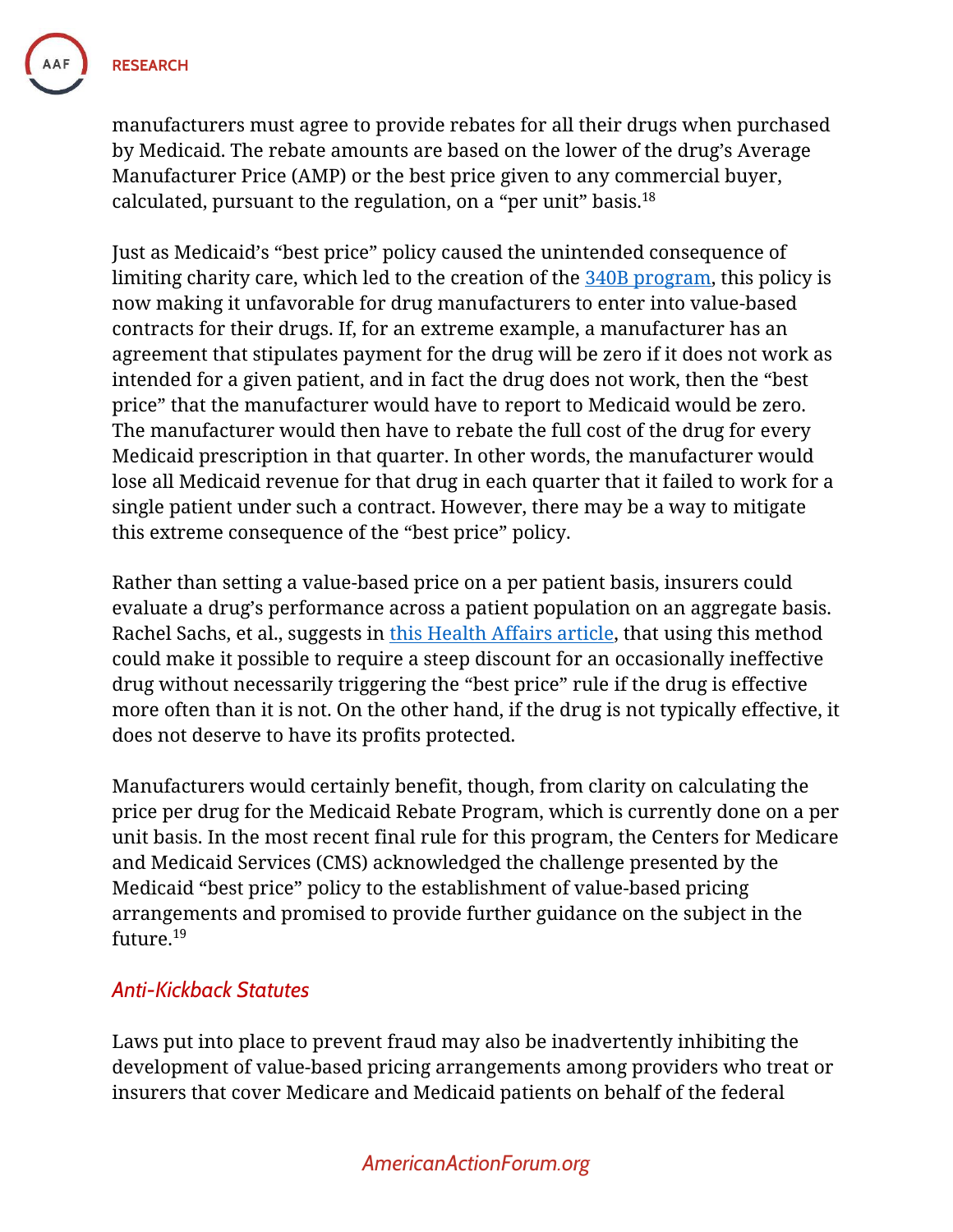

**RESEARCH** 

manufacturers must agree to provide rebates for all their drugs when purchased by Medicaid. The rebate amounts are based on the lower of the drug's Average Manufacturer Price (AMP) or the best price given to any commercial buyer, calculated, pursuant to the regulation, on a "per unit" basis. $^{\rm 18}$ 

Just as Medicaid's "best price" policy caused the unintended consequence of limiting charity care, which led to the creation of the [340B program,](https://www.americanactionforum.org/research/primer-understanding-the-340b-drug-pricing-program/) this policy is now making it unfavorable for drug manufacturers to enter into value-based contracts for their drugs. If, for an extreme example, a manufacturer has an agreement that stipulates payment for the drug will be zero if it does not work as intended for a given patient, and in fact the drug does not work, then the "best price" that the manufacturer would have to report to Medicaid would be zero. The manufacturer would then have to rebate the full cost of the drug for every Medicaid prescription in that quarter. In other words, the manufacturer would lose all Medicaid revenue for that drug in each quarter that it failed to work for a single patient under such a contract. However, there may be a way to mitigate this extreme consequence of the "best price" policy.

Rather than setting a value-based price on a per patient basis, insurers could evaluate a drug's performance across a patient population on an aggregate basis. Rachel Sachs, et al., suggests in [this Health Affairs article,](http://healthaffairs.org/blog/2017/04/27/value-based-pricing-for-pharmaceuticals-in-the-trump-administration/) that using this method could make it possible to require a steep discount for an occasionally ineffective drug without necessarily triggering the "best price" rule if the drug is effective more often than it is not. On the other hand, if the drug is not typically effective, it does not deserve to have its profits protected.

Manufacturers would certainly benefit, though, from clarity on calculating the price per drug for the Medicaid Rebate Program, which is currently done on a per unit basis. In the most recent final rule for this program, the Centers for Medicare and Medicaid Services (CMS) acknowledged the challenge presented by the Medicaid "best price" policy to the establishment of value-based pricing arrangements and promised to provide further guidance on the subject in the future.<sup>19</sup>

## *Anti-Kickback Statutes*

Laws put into place to prevent fraud may also be inadvertently inhibiting the development of value-based pricing arrangements among providers who treat or insurers that cover Medicare and Medicaid patients on behalf of the federal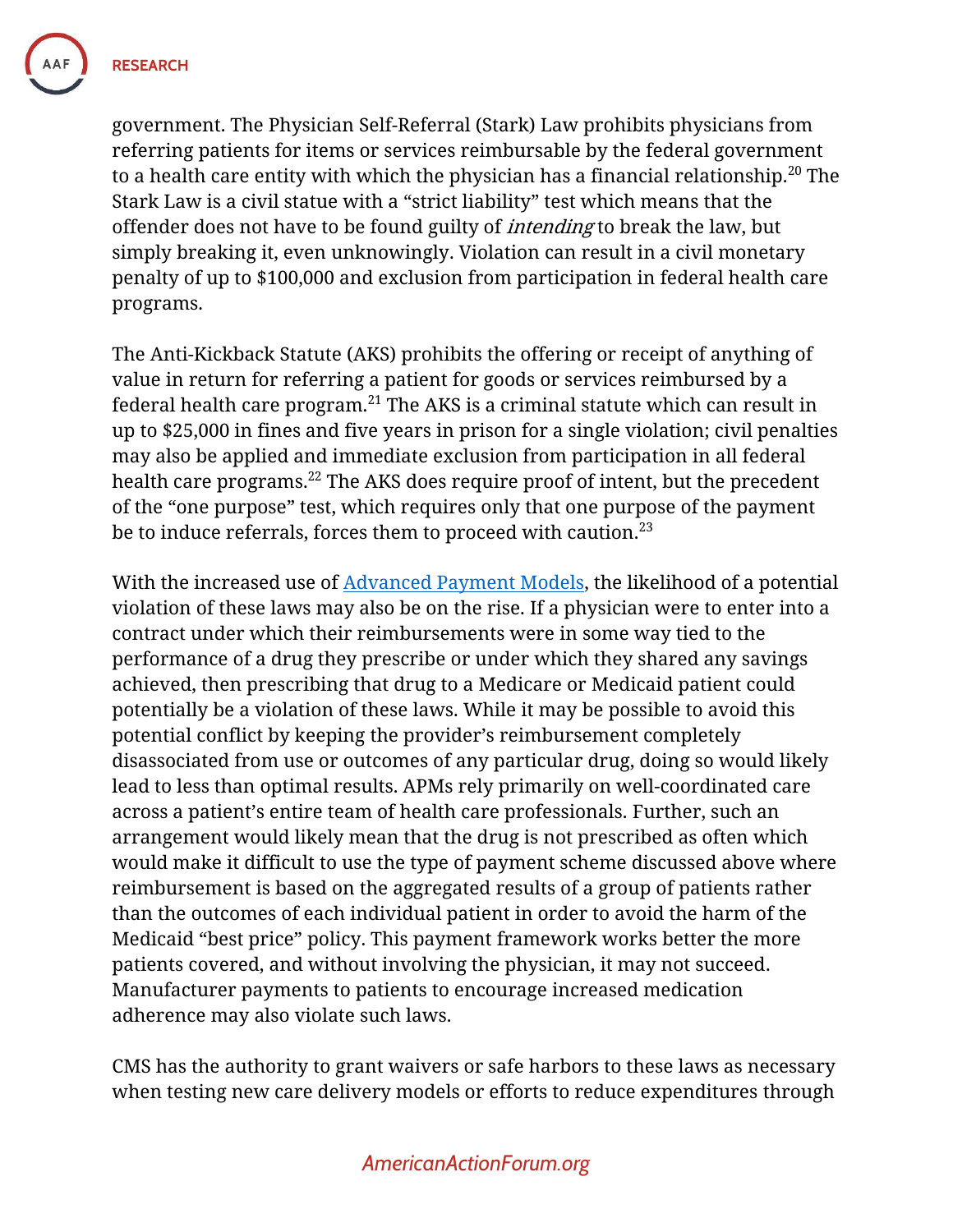

government. The Physician Self-Referral (Stark) Law prohibits physicians from referring patients for items or services reimbursable by the federal government to a health care entity with which the physician has a financial relationship.<sup>20</sup> The Stark Law is a civil statue with a "strict liability" test which means that the offender does not have to be found guilty of *intending* to break the law, but simply breaking it, even unknowingly. Violation can result in a civil monetary penalty of up to \$100,000 and exclusion from participation in federal health care programs.

The Anti-Kickback Statute (AKS) prohibits the offering or receipt of anything of value in return for referring a patient for goods or services reimbursed by a federal health care program. $^{21}$  The AKS is a criminal statute which can result in up to \$25,000 in fines and five years in prison for a single violation; civil penalties may also be applied and immediate exclusion from participation in all federal health care programs.<sup>22</sup> The AKS does require proof of intent, but the precedent of the "one purpose" test, which requires only that one purpose of the payment be to induce referrals, forces them to proceed with caution. $23$ 

With the increased use of [Advanced Payment Models,](https://www.americanactionforum.org/research/primer-macra-advanced-alternative-payment-models/) the likelihood of a potential violation of these laws may also be on the rise. If a physician were to enter into a contract under which their reimbursements were in some way tied to the performance of a drug they prescribe or under which they shared any savings achieved, then prescribing that drug to a Medicare or Medicaid patient could potentially be a violation of these laws. While it may be possible to avoid this potential conflict by keeping the provider's reimbursement completely disassociated from use or outcomes of any particular drug, doing so would likely lead to less than optimal results. APMs rely primarily on well-coordinated care across a patient's entire team of health care professionals. Further, such an arrangement would likely mean that the drug is not prescribed as often which would make it difficult to use the type of payment scheme discussed above where reimbursement is based on the aggregated results of a group of patients rather than the outcomes of each individual patient in order to avoid the harm of the Medicaid "best price" policy. This payment framework works better the more patients covered, and without involving the physician, it may not succeed. Manufacturer payments to patients to encourage increased medication adherence may also violate such laws.

CMS has the authority to grant waivers or safe harbors to these laws as necessary when testing new care delivery models or efforts to reduce expenditures through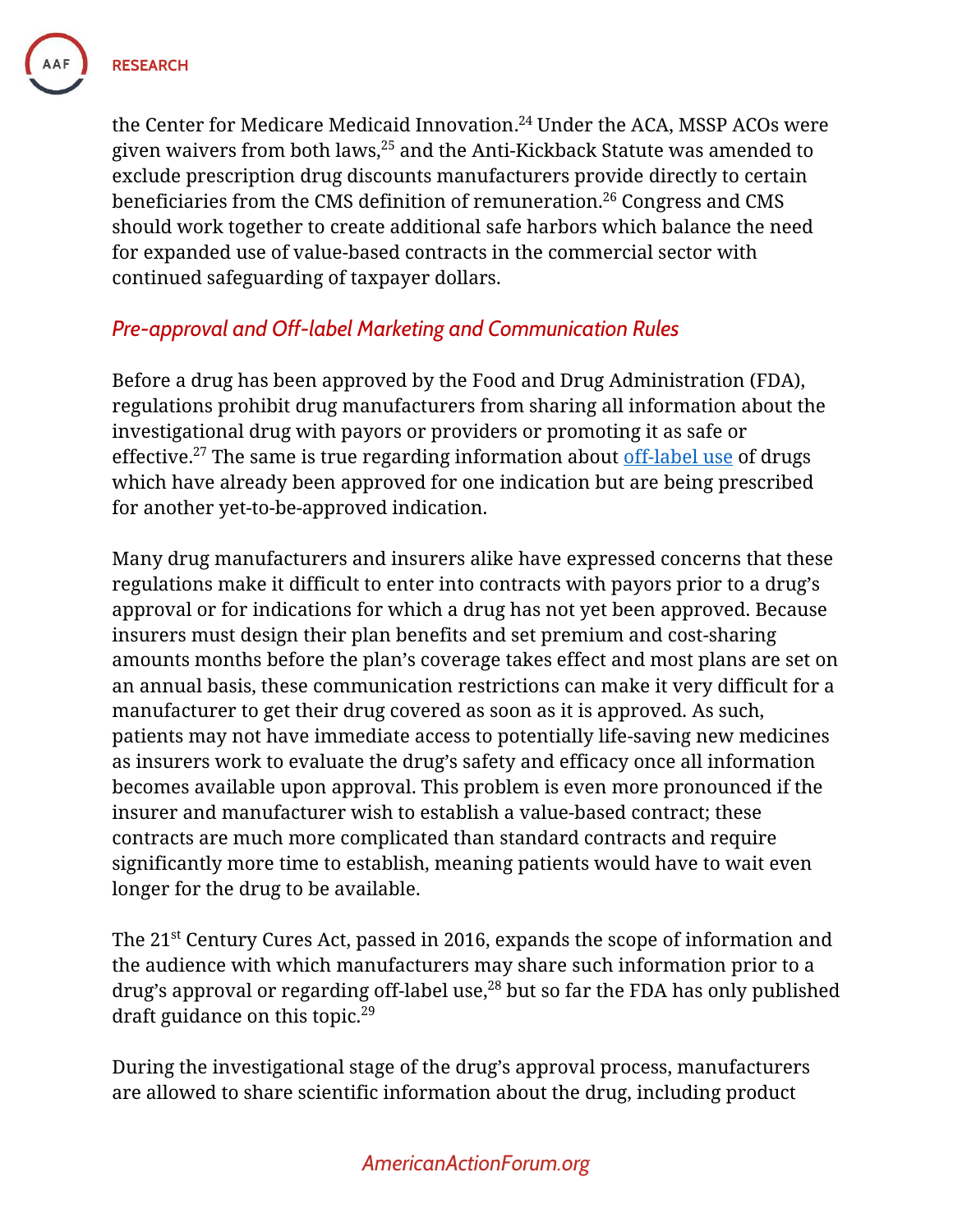

the Center for Medicare Medicaid Innovation. <sup>24</sup> Under the ACA, MSSP ACOs were given waivers from both laws, <sup>25</sup> and the Anti-Kickback Statute was amended to exclude prescription drug discounts manufacturers provide directly to certain beneficiaries from the CMS definition of remuneration.<sup>26</sup> Congress and CMS should work together to create additional safe harbors which balance the need for expanded use of value-based contracts in the commercial sector with continued safeguarding of taxpayer dollars.

# *Pre-approval and Off-label Marketing and Communication Rules*

Before a drug has been approved by the Food and Drug Administration (FDA), regulations prohibit drug manufacturers from sharing all information about the investigational drug with payors or providers or promoting it as safe or effective.<sup>27</sup> The same is true regarding information about [off-label use](https://www.americanactionforum.org/research/primer-introduction-to-the-fda-drug-approval-process-and-off-labal-use/) of drugs which have already been approved for one indication but are being prescribed for another yet-to-be-approved indication.

Many drug manufacturers and insurers alike have expressed concerns that these regulations make it difficult to enter into contracts with payors prior to a drug's approval or for indications for which a drug has not yet been approved. Because insurers must design their plan benefits and set premium and cost-sharing amounts months before the plan's coverage takes effect and most plans are set on an annual basis, these communication restrictions can make it very difficult for a manufacturer to get their drug covered as soon as it is approved. As such, patients may not have immediate access to potentially life-saving new medicines as insurers work to evaluate the drug's safety and efficacy once all information becomes available upon approval. This problem is even more pronounced if the insurer and manufacturer wish to establish a value-based contract; these contracts are much more complicated than standard contracts and require significantly more time to establish, meaning patients would have to wait even longer for the drug to be available.

The 21<sup>st</sup> Century Cures Act, passed in 2016, expands the scope of information and the audience with which manufacturers may share such information prior to a drug's approval or regarding off-label use, <sup>28</sup> but so far the FDA has only published draft guidance on this topic.<sup>29</sup>

During the investigational stage of the drug's approval process, manufacturers are allowed to share scientific information about the drug, including product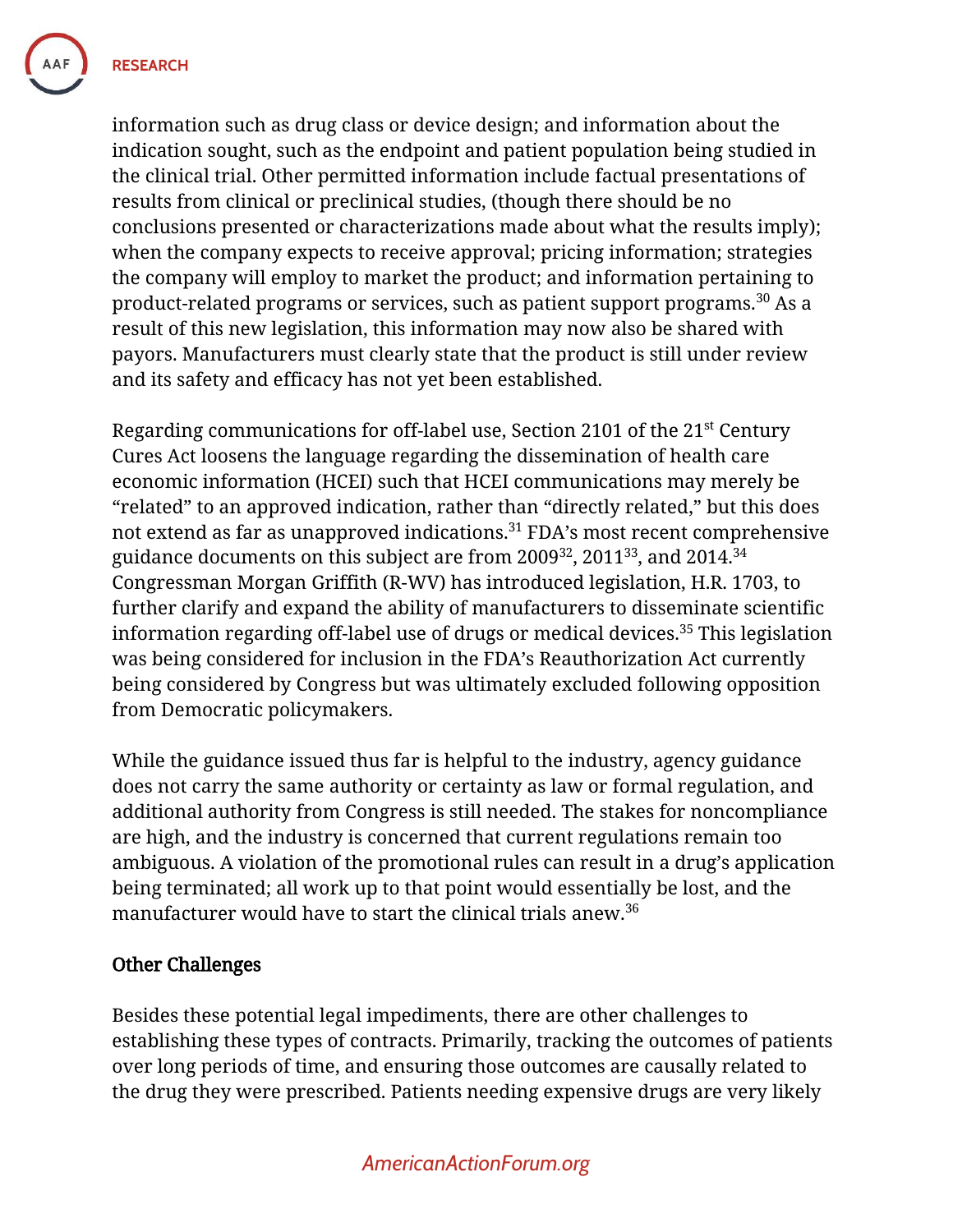**RESEARCH** 

information such as drug class or device design; and information about the indication sought, such as the endpoint and patient population being studied in the clinical trial. Other permitted information include factual presentations of results from clinical or preclinical studies, (though there should be no conclusions presented or characterizations made about what the results imply); when the company expects to receive approval; pricing information; strategies the company will employ to market the product; and information pertaining to product-related programs or services, such as patient support programs.<sup>30</sup> As a result of this new legislation, this information may now also be shared with payors. Manufacturers must clearly state that the product is still under review and its safety and efficacy has not yet been established.

Regarding communications for off-label use, Section 2101 of the 21st Century Cures Act loosens the language regarding the dissemination of health care economic information (HCEI) such that HCEI communications may merely be "related" to an approved indication, rather than "directly related," but this does not extend as far as unapproved indications.<sup>31</sup> FDA's most recent comprehensive guidance documents on this subject are from 2009 $^{\rm 32}$ , 2011 $^{\rm 33}$ , and 2014. $^{\rm 34}$ Congressman Morgan Griffith (R-WV) has introduced legislation, H.R. 1703, to further clarify and expand the ability of manufacturers to disseminate scientific information regarding off-label use of drugs or medical devices.<sup>35</sup> This legislation was being considered for inclusion in the FDA's Reauthorization Act currently being considered by Congress but was ultimately excluded following opposition from Democratic policymakers.

While the guidance issued thus far is helpful to the industry, agency guidance does not carry the same authority or certainty as law or formal regulation, and additional authority from Congress is still needed. The stakes for noncompliance are high, and the industry is concerned that current regulations remain too ambiguous. A violation of the promotional rules can result in a drug's application being terminated; all work up to that point would essentially be lost, and the manufacturer would have to start the clinical trials anew.<sup>36</sup>

#### Other Challenges

Besides these potential legal impediments, there are other challenges to establishing these types of contracts. Primarily, tracking the outcomes of patients over long periods of time, and ensuring those outcomes are causally related to the drug they were prescribed. Patients needing expensive drugs are very likely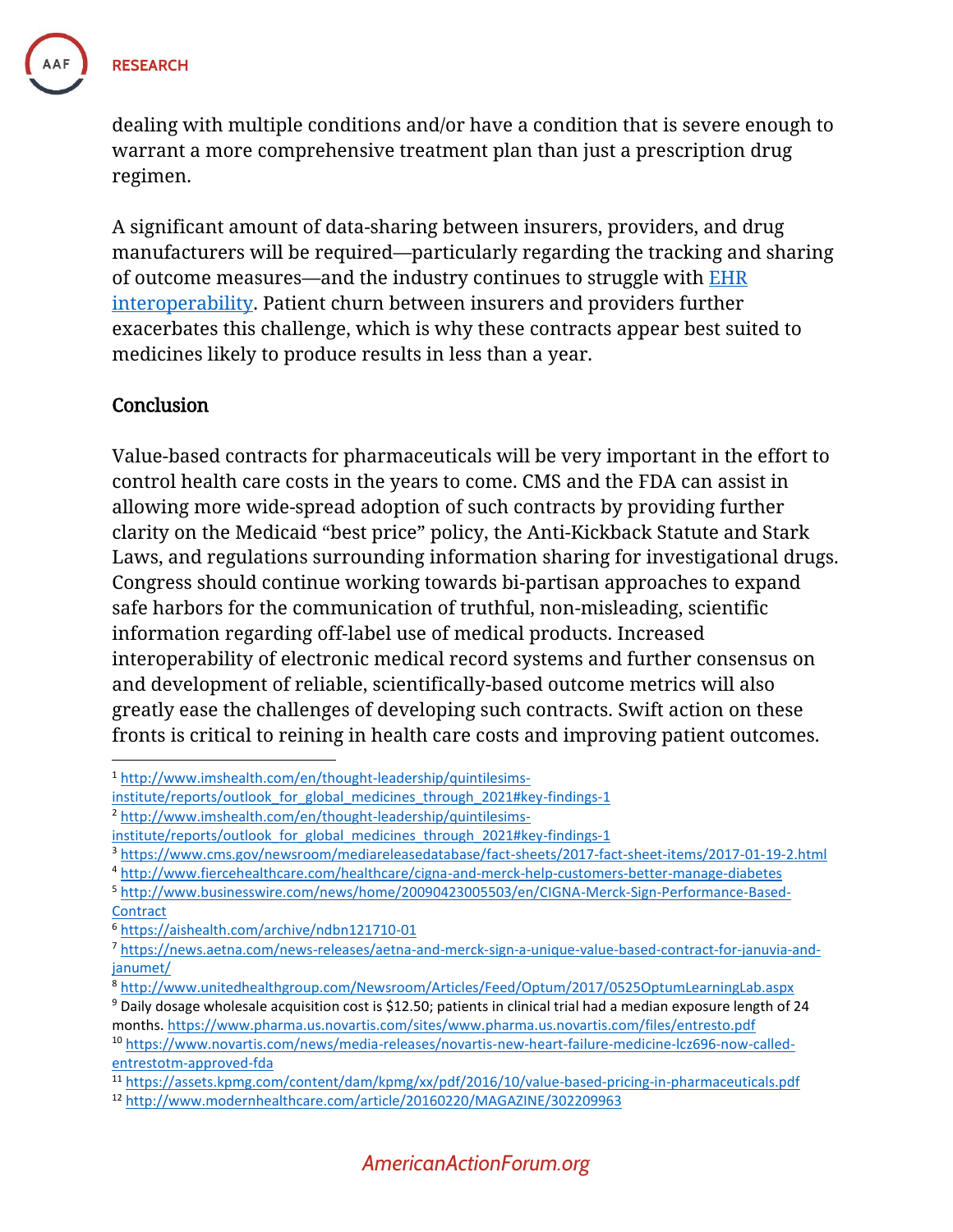

dealing with multiple conditions and/or have a condition that is severe enough to warrant a more comprehensive treatment plan than just a prescription drug regimen.

A significant amount of data-sharing between insurers, providers, and drug manufacturers will be required—particularly regarding the tracking and sharing of outcome measures—and the industry continues to struggle with [EHR](https://www.americanactionforum.org/research/are-electronic-medical-records-worth-the-costs-of-implementation/)  [interoperability.](https://www.americanactionforum.org/research/are-electronic-medical-records-worth-the-costs-of-implementation/) Patient churn between insurers and providers further exacerbates this challenge, which is why these contracts appear best suited to medicines likely to produce results in less than a year.

#### **Conclusion**

 $\overline{\phantom{a}}$ 

Value-based contracts for pharmaceuticals will be very important in the effort to control health care costs in the years to come. CMS and the FDA can assist in allowing more wide-spread adoption of such contracts by providing further clarity on the Medicaid "best price" policy, the Anti-Kickback Statute and Stark Laws, and regulations surrounding information sharing for investigational drugs. Congress should continue working towards bi-partisan approaches to expand safe harbors for the communication of truthful, non-misleading, scientific information regarding off-label use of medical products. Increased interoperability of electronic medical record systems and further consensus on and development of reliable, scientifically-based outcome metrics will also greatly ease the challenges of developing such contracts. Swift action on these fronts is critical to reining in health care costs and improving patient outcomes.

<sup>1</sup> [http://www.imshealth.com/en/thought-leadership/quintilesims-](http://www.imshealth.com/en/thought-leadership/quintilesims-institute/reports/outlook_for_global_medicines_through_2021#key-findings-1)

institute/reports/outlook for global medicines through 2021#key-findings-1

<sup>2</sup> [http://www.imshealth.com/en/thought-leadership/quintilesims-](http://www.imshealth.com/en/thought-leadership/quintilesims-institute/reports/outlook_for_global_medicines_through_2021#key-findings-1)

institute/reports/outlook for global medicines through 2021#key-findings-1

<sup>3</sup> <https://www.cms.gov/newsroom/mediareleasedatabase/fact-sheets/2017-fact-sheet-items/2017-01-19-2.html>

<sup>4</sup> <http://www.fiercehealthcare.com/healthcare/cigna-and-merck-help-customers-better-manage-diabetes>

<sup>5</sup> [http://www.businesswire.com/news/home/20090423005503/en/CIGNA-Merck-Sign-Performance-Based-](http://www.businesswire.com/news/home/20090423005503/en/CIGNA-Merck-Sign-Performance-Based-Contract)**[Contract](http://www.businesswire.com/news/home/20090423005503/en/CIGNA-Merck-Sign-Performance-Based-Contract)** 

<sup>6</sup> <https://aishealth.com/archive/ndbn121710-01>

<sup>7</sup> [https://news.aetna.com/news-releases/aetna-and-merck-sign-a-unique-value-based-contract-for-januvia-and](https://news.aetna.com/news-releases/aetna-and-merck-sign-a-unique-value-based-contract-for-januvia-and-janumet/)[janumet/](https://news.aetna.com/news-releases/aetna-and-merck-sign-a-unique-value-based-contract-for-januvia-and-janumet/)

<sup>8</sup> <http://www.unitedhealthgroup.com/Newsroom/Articles/Feed/Optum/2017/0525OptumLearningLab.aspx>

 $9$  Daily dosage wholesale acquisition cost is \$12.50; patients in clinical trial had a median exposure length of 24 months.<https://www.pharma.us.novartis.com/sites/www.pharma.us.novartis.com/files/entresto.pdf>

<sup>10</sup> [https://www.novartis.com/news/media-releases/novartis-new-heart-failure-medicine-lcz696-now-called](https://www.novartis.com/news/media-releases/novartis-new-heart-failure-medicine-lcz696-now-called-entrestotm-approved-fda)[entrestotm-approved-fda](https://www.novartis.com/news/media-releases/novartis-new-heart-failure-medicine-lcz696-now-called-entrestotm-approved-fda)

<sup>11</sup> <https://assets.kpmg.com/content/dam/kpmg/xx/pdf/2016/10/value-based-pricing-in-pharmaceuticals.pdf>

<sup>12</sup> <http://www.modernhealthcare.com/article/20160220/MAGAZINE/302209963>